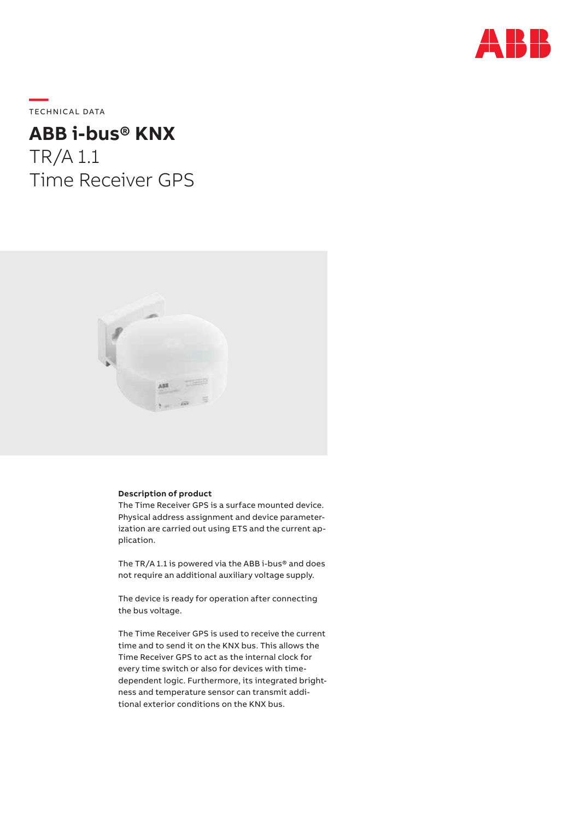

**—**  TECHNICAL DATA

# **ABB i-bus® KNX** TR/A 1.1 Time Receiver GPS



### **Description of product**

The Time Receiver GPS is a surface mounted device. Physical address assignment and device parameterization are carried out using ETS and the current application.

The TR/A 1.1 is powered via the ABB i-bus® and does not require an additional auxiliary voltage supply.

The device is ready for operation after connecting the bus voltage.

The Time Receiver GPS is used to receive the current time and to send it on the KNX bus. This allows the Time Receiver GPS to act as the internal clock for every time switch or also for devices with timedependent logic. Furthermore, its integrated brightness and temperature sensor can transmit additional exterior conditions on the KNX bus.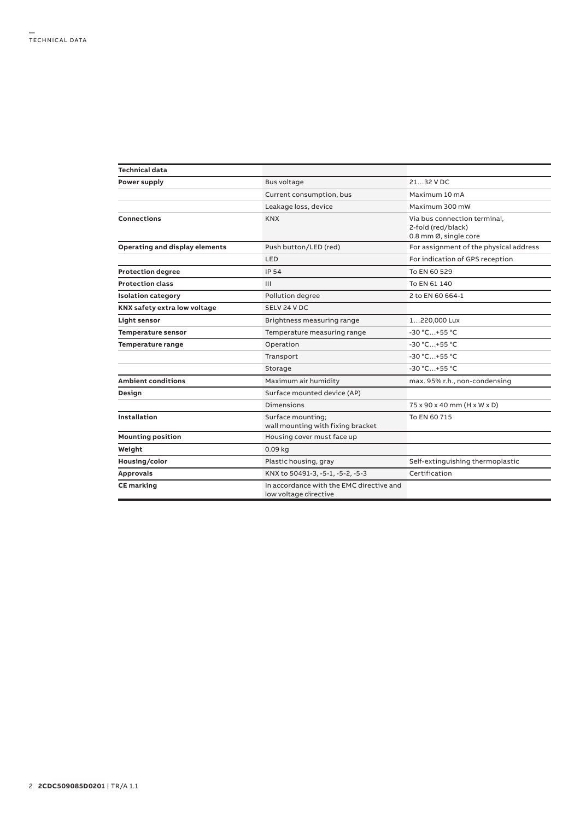| <b>Technical data</b>          |                                                                   |                                                                             |  |  |
|--------------------------------|-------------------------------------------------------------------|-----------------------------------------------------------------------------|--|--|
| Power supply                   | <b>Bus voltage</b>                                                | 21.32 V DC                                                                  |  |  |
|                                | Current consumption, bus                                          | Maximum 10 mA                                                               |  |  |
|                                | Leakage loss, device                                              | Maximum 300 mW                                                              |  |  |
| Connections                    | <b>KNX</b>                                                        | Via bus connection terminal.<br>2-fold (red/black)<br>0.8 mm Ø, single core |  |  |
| Operating and display elements | Push button/LED (red)                                             | For assignment of the physical address                                      |  |  |
|                                | LED                                                               | For indication of GPS reception                                             |  |  |
| <b>Protection degree</b>       | <b>IP 54</b>                                                      | To EN 60 529                                                                |  |  |
| <b>Protection class</b>        | III                                                               | To EN 61 140                                                                |  |  |
| <b>Isolation category</b>      | Pollution degree                                                  | 2 to EN 60 664-1                                                            |  |  |
| KNX safety extra low voltage   | SELV 24 V DC                                                      |                                                                             |  |  |
| Light sensor                   | Brightness measuring range                                        | 1220,000 Lux                                                                |  |  |
| <b>Temperature sensor</b>      | Temperature measuring range                                       | -30 °C+55 °C                                                                |  |  |
| Temperature range              | Operation                                                         | -30 °C+55 °C                                                                |  |  |
|                                | Transport                                                         | $-30 °C+55 °C$                                                              |  |  |
|                                | Storage                                                           | $-30 °C+55 °C$                                                              |  |  |
| <b>Ambient conditions</b>      | Maximum air humidity                                              | max. 95% r.h., non-condensing                                               |  |  |
| Design                         | Surface mounted device (AP)                                       |                                                                             |  |  |
|                                | Dimensions                                                        | 75 x 90 x 40 mm (H x W x D)                                                 |  |  |
| <b>Installation</b>            | Surface mounting;<br>wall mounting with fixing bracket            | To EN 60 715                                                                |  |  |
| <b>Mounting position</b>       | Housing cover must face up                                        |                                                                             |  |  |
| Weight                         | $0.09$ kg                                                         |                                                                             |  |  |
| Housing/color                  | Plastic housing, gray                                             | Self-extinguishing thermoplastic                                            |  |  |
| <b>Approvals</b>               | KNX to 50491-3, -5-1, -5-2, -5-3                                  | Certification                                                               |  |  |
| <b>CE</b> marking              | In accordance with the EMC directive and<br>low voltage directive |                                                                             |  |  |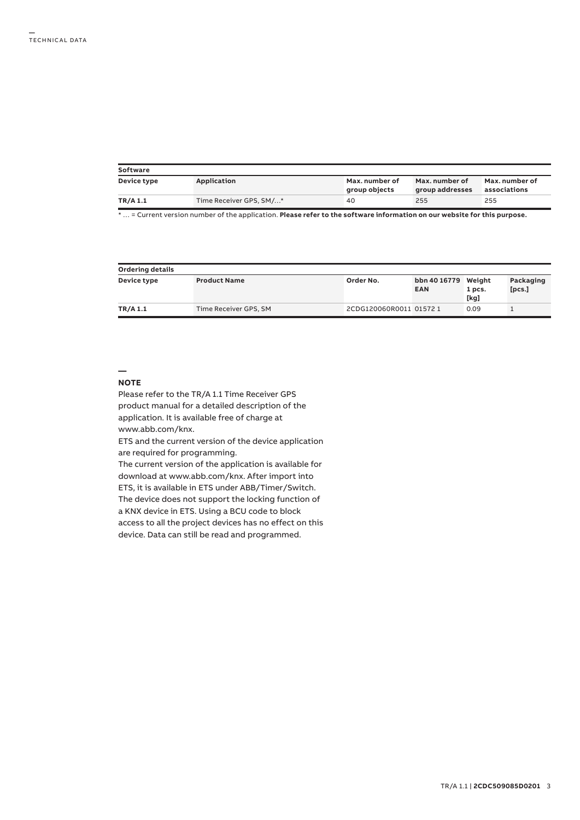| Software    |                         |                                 |                                   |                                |  |  |  |
|-------------|-------------------------|---------------------------------|-----------------------------------|--------------------------------|--|--|--|
| Device type | Application             | Max. number of<br>group objects | Max. number of<br>group addresses | Max. number of<br>associations |  |  |  |
| TR/A 1.1    | Time Receiver GPS, SM/* | 40                              | 255                               | 255                            |  |  |  |

\* … = Current version number of the application. **Please refer to the software information on our website for this purpose.**

| Ordering details |                       |                         |                                   |                |                     |  |  |  |
|------------------|-----------------------|-------------------------|-----------------------------------|----------------|---------------------|--|--|--|
| Device type      | <b>Product Name</b>   | Order No.               | bbn 40 16779 Weight<br><b>EAN</b> | 1 pcs.<br>[kg] | Packaging<br>[pcs.] |  |  |  |
| TR/A 1.1         | Time Receiver GPS, SM | 2CDG120060R0011 01572 1 |                                   | 0.09           |                     |  |  |  |

#### **— NOTE**

Please refer to the TR/A 1.1 Time Receiver GPS product manual for a detailed description of the application. It is available free of charge at www.abb.com/knx.

ETS and the current version of the device application are required for programming.

The current version of the application is available for download at www.abb.com/knx. After import into ETS, it is available in ETS under ABB/Timer/Switch. The device does not support the locking function of a KNX device in ETS. Using a BCU code to block access to all the project devices has no effect on this device. Data can still be read and programmed.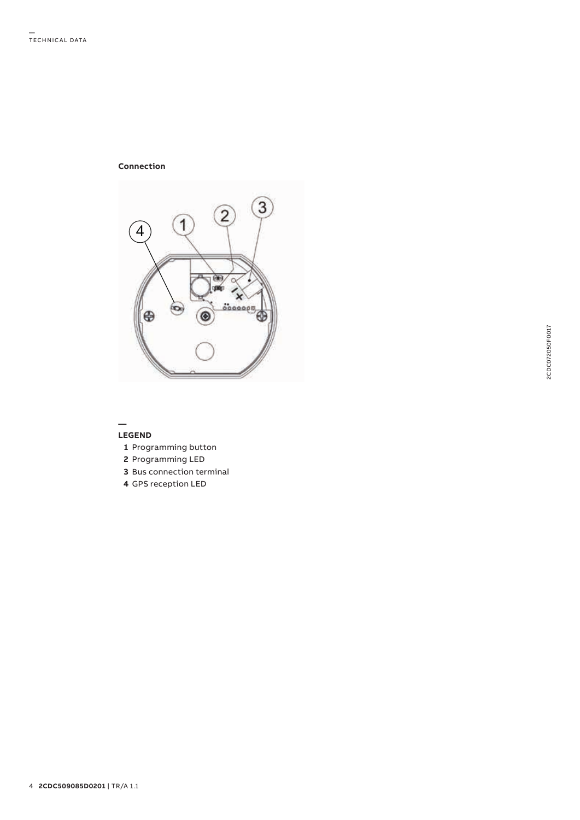## **Connection**



#### **— LEGEND**

- **1** Programming button
- **2** Programming LED
- **3** Bus connection terminal
- **4** GPS reception LED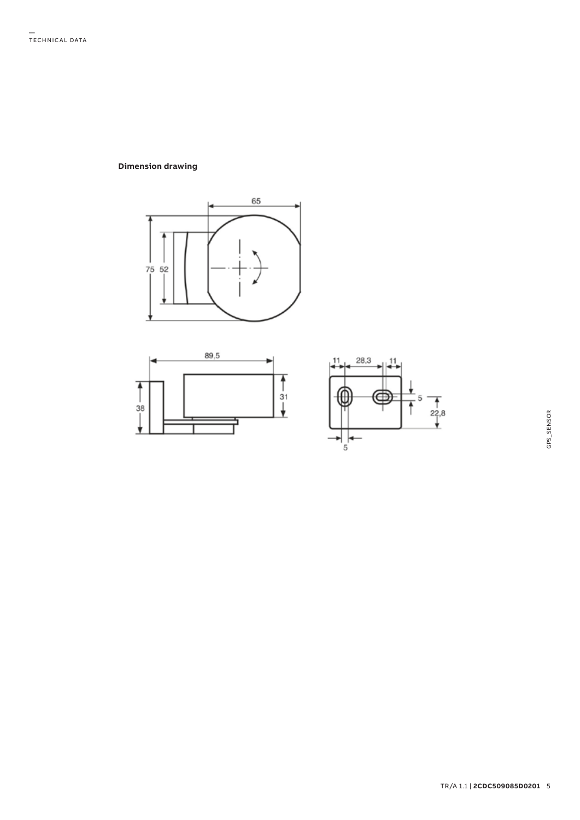# **Dimension drawing**





 $\frac{1}{22,8}$